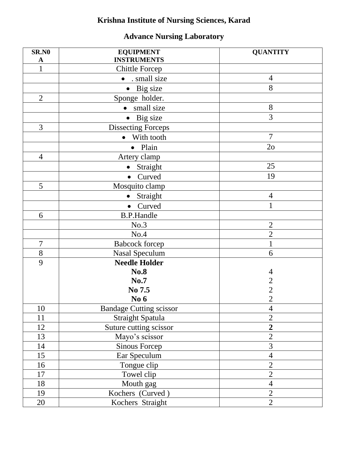## **Krishna Institute of Nursing Sciences, Karad**

## **Advance Nursing Laboratory**

| <b>SR.NO</b>   | <b>EQUIPMENT</b>               | <b>QUANTITY</b> |
|----------------|--------------------------------|-----------------|
| $\mathbf A$    | <b>INSTRUMENTS</b>             |                 |
| 1              | <b>Chittle Forcep</b>          |                 |
|                | • . small size                 | $\overline{4}$  |
|                | Big size                       | 8               |
| $\overline{2}$ | Sponge holder.                 |                 |
|                | • small size                   | 8               |
|                | • Big size                     | 3               |
| 3              | <b>Dissecting Forceps</b>      |                 |
|                | With tooth<br>$\bullet$        | $\overline{7}$  |
|                | · Plain                        | 2 <sub>o</sub>  |
| $\overline{4}$ | Artery clamp                   |                 |
|                | Straight<br>$\bullet$          | 25              |
|                | Curved                         | 19              |
| 5              | Mosquito clamp                 |                 |
|                | Straight<br>$\bullet$          | $\overline{4}$  |
|                | Curved<br>$\bullet$            | $\mathbf{1}$    |
| 6              | <b>B.P.Handle</b>              |                 |
|                | No.3                           | $\overline{2}$  |
|                | No.4                           | $\overline{2}$  |
| $\overline{7}$ | <b>Babcock</b> forcep          | $\mathbf{1}$    |
| 8              | <b>Nasal Speculum</b>          | 6               |
| 9              | <b>Needle Holder</b>           |                 |
|                | <b>No.8</b>                    | 4               |
|                | <b>No.7</b>                    | $\overline{c}$  |
|                | No 7.5                         | $\overline{c}$  |
|                | No 6                           | $\overline{2}$  |
| 10             | <b>Bandage Cutting scissor</b> | $\overline{4}$  |
| 11             | Straight Spatula               | $\overline{2}$  |
| 12             | Suture cutting scissor         | $\overline{2}$  |
| 13             | Mayo's scissor                 | $\overline{2}$  |
| 14             | <b>Sinous Forcep</b>           | 3               |
| 15             | Ear Speculum                   | $\overline{4}$  |
| 16             | Tongue clip                    | $\overline{2}$  |
| 17             | Towel clip                     | $\overline{2}$  |
| 18             | Mouth gag                      | $\overline{4}$  |
| 19             | Kochers (Curved)               | $\overline{2}$  |
| 20             | Kochers Straight               | $\overline{2}$  |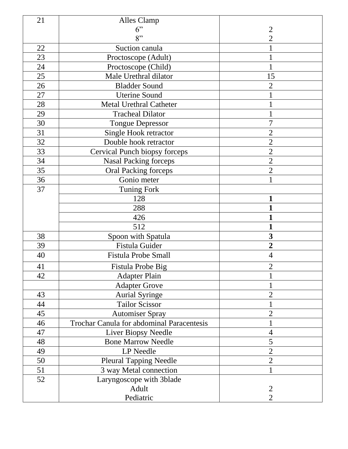| 21 | Alles Clamp                               |                |
|----|-------------------------------------------|----------------|
|    | 6"                                        | 2              |
|    | 8"                                        | $\overline{2}$ |
| 22 | Suction canula                            |                |
| 23 | Proctoscope (Adult)                       |                |
| 24 | Proctoscope (Child)                       |                |
| 25 | Male Urethral dilator                     | 15             |
| 26 | <b>Bladder Sound</b>                      | $\overline{2}$ |
| 27 | <b>Uterine Sound</b>                      |                |
| 28 | <b>Metal Urethral Catheter</b>            |                |
| 29 | <b>Tracheal Dilator</b>                   |                |
| 30 | <b>Tongue Depressor</b>                   | 7              |
| 31 | Single Hook retractor                     | $\overline{2}$ |
| 32 | Double hook retractor                     | $\overline{2}$ |
| 33 | Cervical Punch biopsy forceps             | $\overline{2}$ |
| 34 | <b>Nasal Packing forceps</b>              | $\overline{2}$ |
| 35 | <b>Oral Packing forceps</b>               | $\overline{2}$ |
| 36 | Gonio meter                               |                |
| 37 | <b>Tuning Fork</b>                        |                |
|    | 128                                       | 1              |
|    | 288                                       |                |
|    | 426                                       |                |
|    | 512                                       | 1              |
| 38 | Spoon with Spatula                        | 3              |
| 39 | Fistula Guider                            | $\overline{2}$ |
| 40 | <b>Fistula Probe Small</b>                | $\overline{4}$ |
| 41 | Fistula Probe Big                         | $\overline{2}$ |
| 42 | <b>Adapter Plain</b>                      |                |
|    | <b>Adapter Grove</b>                      |                |
| 43 | <b>Aurial Syringe</b>                     | $\overline{2}$ |
| 44 | <b>Tailor Scissor</b>                     |                |
| 45 | Automiser Spray                           | $\overline{2}$ |
| 46 | Trochar Canula for abdominal Paracentesis |                |
| 47 | <b>Liver Biopsy Needle</b>                | 4              |
| 48 | <b>Bone Marrow Needle</b>                 | 5              |
| 49 | LP Needle                                 | $\overline{2}$ |
| 50 | <b>Pleural Tapping Needle</b>             | $\overline{2}$ |
| 51 | 3 way Metal connection                    |                |
| 52 | Laryngoscope with 3blade                  |                |
|    | Adult                                     | $\overline{2}$ |
|    | Pediatric                                 | $\overline{2}$ |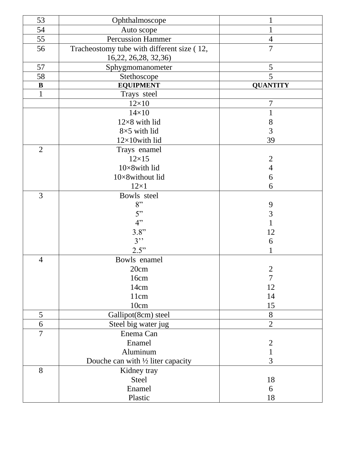| 53             | Ophthalmoscope                                                     |                 |
|----------------|--------------------------------------------------------------------|-----------------|
| 54             | Auto scope                                                         |                 |
| 55             | <b>Percussion Hammer</b>                                           | $\overline{4}$  |
| 56             | Tracheostomy tube with different size (12,<br>16,22, 26,28, 32,36) | 7               |
| 57             | Sphygmomanometer                                                   | 5               |
| 58             | Stethoscope                                                        | 5               |
| $\bf{B}$       | <b>EQUIPMENT</b>                                                   | <b>QUANTITY</b> |
| $\mathbf{1}$   | Trays steel                                                        |                 |
|                | $12\times10$                                                       | 7               |
|                | $14\times10$                                                       | $\mathbf{1}$    |
|                | $12\times8$ with lid                                               | 8               |
|                | $8\times5$ with lid                                                | 3               |
|                | $12\times10$ with lid                                              | 39              |
| $\overline{2}$ | Trays enamel                                                       |                 |
|                | $12\times15$                                                       | $\overline{2}$  |
|                | 10×8with lid                                                       | $\overline{4}$  |
|                | 10×8without lid                                                    | 6               |
|                | $12\times1$                                                        | 6               |
| 3              | Bowls steel                                                        |                 |
|                | 8"                                                                 | 9               |
|                | 5"                                                                 | 3               |
|                | 4"                                                                 | 1               |
|                | 3.8"                                                               | 12              |
|                | 3"                                                                 | 6               |
|                | 2.5"                                                               | 1               |
| $\overline{4}$ | Bowls enamel                                                       |                 |
|                | 20cm                                                               | $\overline{c}$  |
|                | 16cm                                                               | $\overline{7}$  |
|                | 14cm                                                               | 12              |
|                | 11cm                                                               | 14              |
|                | 10cm                                                               | 15              |
| 5              | Gallipot(8cm) steel                                                | 8               |
| 6              | Steel big water jug                                                | $\overline{2}$  |
| $\overline{7}$ | Enema Can                                                          |                 |
|                | Enamel                                                             | $\overline{2}$  |
|                | Aluminum                                                           | $\mathbf 1$     |
|                | Douche can with $\frac{1}{2}$ liter capacity                       | 3               |
| 8              | Kidney tray                                                        |                 |
|                | <b>Steel</b>                                                       | 18              |
|                | Enamel                                                             | 6               |
|                | Plastic                                                            | 18              |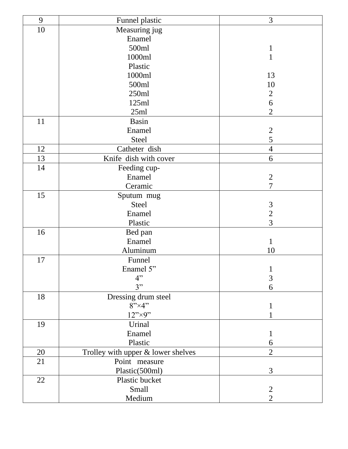| 9  | Funnel plastic                     | 3              |
|----|------------------------------------|----------------|
| 10 | Measuring jug                      |                |
|    | Enamel                             |                |
|    | 500ml                              | $\mathbf{1}$   |
|    | 1000ml                             | $\mathbf{1}$   |
|    | Plastic                            |                |
|    | 1000ml                             | 13             |
|    | 500ml                              | 10             |
|    | 250ml                              | $\overline{2}$ |
|    | 125ml                              | 6              |
|    | 25ml                               | $\overline{2}$ |
| 11 | <b>Basin</b>                       |                |
|    | Enamel                             |                |
|    | <b>Steel</b>                       | $\frac{2}{5}$  |
| 12 | Catheter dish                      | $\overline{4}$ |
| 13 | Knife dish with cover              | 6              |
| 14 | Feeding cup-                       |                |
|    | Enamel                             | $\overline{2}$ |
|    | Ceramic                            | $\overline{7}$ |
| 15 | Sputum mug                         |                |
|    | Steel                              | $\mathfrak{Z}$ |
|    | Enamel                             | $\overline{2}$ |
|    | Plastic                            | 3              |
| 16 | Bed pan                            |                |
|    | Enamel                             | $\mathbf{1}$   |
|    | Aluminum                           | 10             |
| 17 | Funnel                             |                |
|    | Enamel 5"                          | $\mathbf{1}$   |
|    | 4"                                 | $\overline{3}$ |
|    | 3"                                 | 6              |
| 18 | Dressing drum steel                |                |
|    | $8" \times 4"$                     | $\bf{l}$       |
|    | 12"                                |                |
| 19 | Urinal                             |                |
|    | Enamel                             | 1              |
|    | Plastic                            | 6              |
| 20 | Trolley with upper & lower shelves | $\overline{2}$ |
| 21 | Point measure                      |                |
|    | Plastic(500ml)                     | 3              |
| 22 | Plastic bucket                     |                |
|    | Small                              | $\mathbf{2}$   |
|    | Medium                             | $\overline{2}$ |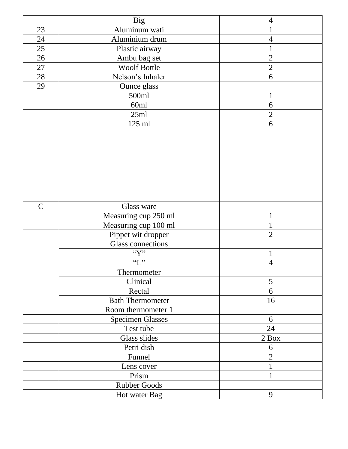|                | <b>Big</b>               | $\overline{4}$ |
|----------------|--------------------------|----------------|
| 23             | Aluminum wati            | 1              |
| 24             | Aluminium drum           | $\overline{4}$ |
| 25             | Plastic airway           | $\mathbf 1$    |
| 26             | Ambu bag set             | $\overline{2}$ |
| 27             | Woolf Bottle             | $\overline{2}$ |
| 28             | Nelson's Inhaler         | 6              |
| 29             | Ounce glass              |                |
|                | 500ml                    | $\mathbf{1}$   |
|                | 60ml                     | 6              |
|                | 25ml                     | $\overline{2}$ |
|                | 125 ml                   | 6              |
|                |                          |                |
|                |                          |                |
|                |                          |                |
|                |                          |                |
|                |                          |                |
|                |                          |                |
|                |                          |                |
|                |                          |                |
| $\overline{C}$ | Glass ware               |                |
|                | Measuring cup 250 ml     | $\mathbf 1$    |
|                | Measuring cup 100 ml     | 1              |
|                | Pippet wit dropper       | $\overline{2}$ |
|                | <b>Glass connections</b> |                |
|                | ``Y"                     | $\mathbf{1}$   |
|                | $\lq\lq L$ "             | $\overline{4}$ |
|                | Thermometer              |                |
|                | Clinical                 | 5              |
|                | Rectal                   | 6              |
|                | <b>Bath Thermometer</b>  | 16             |
|                | Room thermometer 1       |                |
|                | <b>Specimen Glasses</b>  | 6              |
|                | Test tube                | 24             |
|                | <b>Glass slides</b>      | 2 Box          |
|                | Petri dish               | 6              |
|                | Funnel                   | $\overline{2}$ |
|                | Lens cover               | 1              |
|                | Prism                    | $\mathbf{1}$   |
|                | <b>Rubber Goods</b>      |                |
|                | Hot water Bag            | 9              |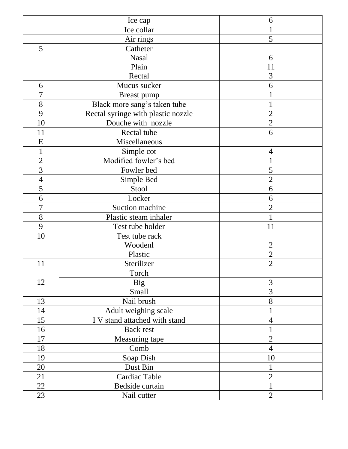|                | Ice cap                            | 6              |
|----------------|------------------------------------|----------------|
|                | Ice collar                         |                |
|                | Air rings                          | 5              |
| 5              | Catheter                           |                |
|                | <b>Nasal</b>                       | 6              |
|                | Plain                              | 11             |
|                | Rectal                             | 3              |
| 6              | Mucus sucker                       | 6              |
| 7              | Breast pump                        |                |
| 8              | Black more sang's taken tube       | 1              |
| 9              | Rectal syringe with plastic nozzle | $\overline{2}$ |
| 10             | Douche with nozzle                 | $\overline{2}$ |
| 11             | Rectal tube                        | 6              |
| E              | Miscellaneous                      |                |
| $\mathbf{1}$   | Simple cot                         | $\overline{4}$ |
| $\overline{2}$ | Modified fowler's bed              |                |
| $\overline{3}$ | Fowler bed                         | 5              |
| $\overline{4}$ | Simple Bed                         | $\overline{2}$ |
| 5              | Stool                              | 6              |
| 6              | Locker                             | 6              |
| 7              | Suction machine                    | $\overline{2}$ |
| 8              | Plastic steam inhaler              |                |
| 9              | Test tube holder                   | 11             |
| 10             | Test tube rack                     |                |
|                | Woodenl                            | $\overline{2}$ |
|                | Plastic                            | $\overline{2}$ |
| 11             | Sterilizer                         | $\overline{2}$ |
|                | Torch                              |                |
| 12             | <b>Big</b>                         | 3              |
|                | <b>Small</b>                       | 3              |
| 13             | Nail brush                         | 8              |
| 14             | Adult weighing scale               |                |
| 15             | I V stand attached with stand      | $\overline{4}$ |
| 16             | <b>Back rest</b>                   |                |
| 17             | Measuring tape                     | $\overline{2}$ |
| 18             | Comb                               | $\overline{4}$ |
| 19             | Soap Dish                          | 10             |
| 20             | Dust Bin                           | 1              |
| 21             | Cardiac Table                      | $\overline{2}$ |
| 22             | Bedside curtain                    | $\mathbf 1$    |
| 23             | Nail cutter                        | $\overline{2}$ |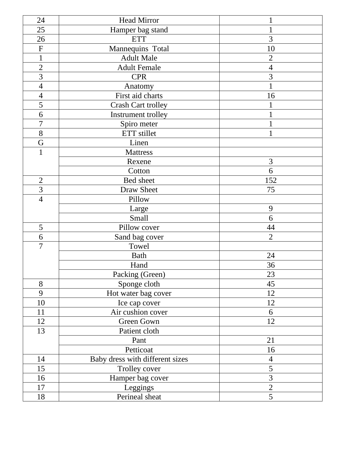| 24                        | <b>Head Mirror</b>              |                          |
|---------------------------|---------------------------------|--------------------------|
| 25                        | Hamper bag stand                |                          |
| 26                        | <b>ETT</b>                      | 3                        |
| $\boldsymbol{\mathrm{F}}$ | Mannequins Total                | 10                       |
| $\mathbf{1}$              | <b>Adult Male</b>               | $\overline{2}$           |
| $\overline{2}$            | <b>Adult Female</b>             | $\overline{4}$           |
| 3                         | <b>CPR</b>                      | 3                        |
| $\overline{4}$            | Anatomy                         |                          |
| $\overline{4}$            | First aid charts                | 16                       |
| 5                         | <b>Crash Cart trolley</b>       |                          |
| 6                         | Instrument trolley              |                          |
| $\overline{7}$            | Spiro meter                     |                          |
| 8                         | ETT stillet                     |                          |
| G                         | Linen                           |                          |
| $\mathbf{1}$              | <b>Mattress</b>                 |                          |
|                           | Rexene                          | 3                        |
|                           | Cotton                          | 6                        |
| $\overline{2}$            | Bed sheet                       | 152                      |
| $\overline{3}$            | <b>Draw Sheet</b>               | 75                       |
| $\overline{4}$            | Pillow                          |                          |
|                           | Large                           | 9                        |
|                           | Small                           | 6                        |
| 5                         | Pillow cover                    | 44                       |
| 6                         | Sand bag cover                  | $\overline{2}$           |
| $\overline{7}$            | Towel                           |                          |
|                           | <b>Bath</b>                     | 24                       |
|                           | Hand                            | 36                       |
|                           | Packing (Green)                 | 23                       |
| 8                         | Sponge cloth                    | 45                       |
| 9                         | Hot water bag cover             | 12                       |
| 10                        | Ice cap cover                   | 12                       |
| 11                        | Air cushion cover               | 6                        |
| 12                        | Green Gown                      | 12                       |
| 13                        | Patient cloth                   |                          |
|                           | Pant                            | 21                       |
|                           | Petticoat                       | 16                       |
| 14                        | Baby dress with different sizes | $\overline{\mathcal{A}}$ |
| 15                        | Trolley cover                   | 5                        |
| 16                        | Hamper bag cover                | 3                        |
| 17                        | Leggings                        | $\overline{2}$           |
| 18                        | Perineal sheat                  | 5                        |